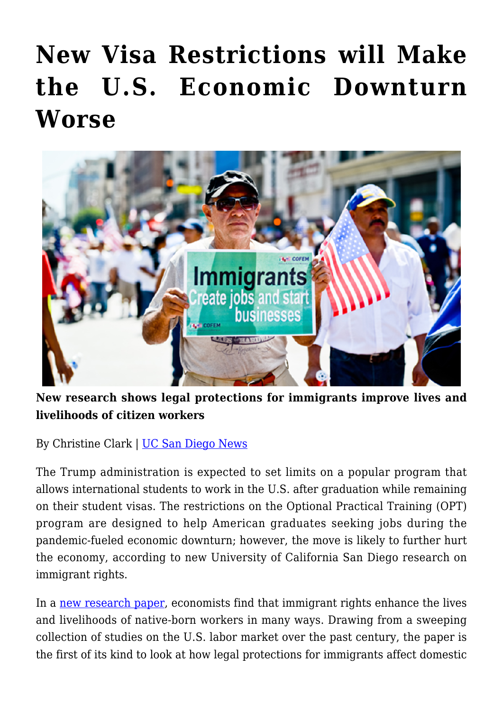# **[New Visa Restrictions will Make](https://gpsnews.ucsd.edu/new-visa-restrictions-will-make-the-u-s-economic-downturn-worse/) [the U.S. Economic Downturn](https://gpsnews.ucsd.edu/new-visa-restrictions-will-make-the-u-s-economic-downturn-worse/) [Worse](https://gpsnews.ucsd.edu/new-visa-restrictions-will-make-the-u-s-economic-downturn-worse/)**



**New research shows legal protections for immigrants improve lives and livelihoods of citizen workers**

By Christine Clark | [UC San Diego News](https://ucsdnews.ucsd.edu/pressrelease/new-visa-restrictions-will-make-the-u.s-economic-downturn-worse)

The Trump administration is expected to set limits on a popular program that allows international students to work in the U.S. after graduation while remaining on their student visas. The restrictions on the Optional Practical Training (OPT) program are designed to help American graduates seeking jobs during the pandemic-fueled economic downturn; however, the move is likely to further hurt the economy, according to new University of California San Diego research on immigrant rights.

In a [new research paper](https://612bbf4b-3210-4927-957e-9e9090dd882c.filesusr.com/ugd/f85d25_7888ac605aa243688ee85b18d08b779b.pdf), economists find that immigrant rights enhance the lives and livelihoods of native-born workers in many ways. Drawing from a sweeping collection of studies on the U.S. labor market over the past century, the paper is the first of its kind to look at how legal protections for immigrants affect domestic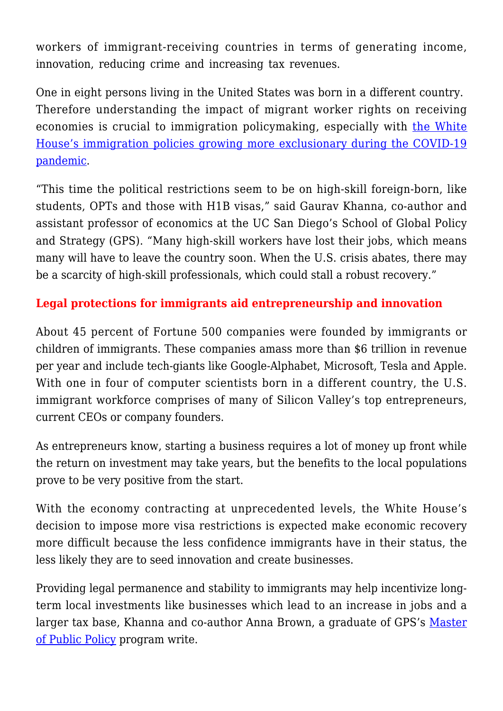workers of immigrant-receiving countries in terms of generating income, innovation, reducing crime and increasing tax revenues.

One in eight persons living in the United States was born in a different country. Therefore understanding the impact of migrant worker rights on receiving economies is crucial to immigration policymaking, especially with [the White](https://www.reuters.com/article/us-health-coronavirus-usa-immigration/trump-order-temporarily-limits-u-s-immigration-during-coronavirus-crisis-idUSKCN2241M8) [House's immigration policies growing more exclusionary during the COVID-19](https://www.reuters.com/article/us-health-coronavirus-usa-immigration/trump-order-temporarily-limits-u-s-immigration-during-coronavirus-crisis-idUSKCN2241M8) [pandemic.](https://www.reuters.com/article/us-health-coronavirus-usa-immigration/trump-order-temporarily-limits-u-s-immigration-during-coronavirus-crisis-idUSKCN2241M8)

"This time the political restrictions seem to be on high-skill foreign-born, like students, OPTs and those with H1B visas," said Gaurav Khanna, co-author and assistant professor of economics at the UC San Diego's School of Global Policy and Strategy (GPS). "Many high-skill workers have lost their jobs, which means many will have to leave the country soon. When the U.S. crisis abates, there may be a scarcity of high-skill professionals, which could stall a robust recovery."

## **Legal protections for immigrants aid entrepreneurship and innovation**

About 45 percent of Fortune 500 companies were founded by immigrants or children of immigrants. These companies amass more than \$6 trillion in revenue per year and include tech-giants like Google-Alphabet, Microsoft, Tesla and Apple. With one in four of computer scientists born in a different country, the U.S. immigrant workforce comprises of many of Silicon Valley's top entrepreneurs, current CEOs or company founders.

As entrepreneurs know, starting a business requires a lot of money up front while the return on investment may take years, but the benefits to the local populations prove to be very positive from the start.

With the economy contracting at unprecedented levels, the White House's decision to impose more visa restrictions is expected make economic recovery more difficult because the less confidence immigrants have in their status, the less likely they are to seed innovation and create businesses.

Providing legal permanence and stability to immigrants may help incentivize longterm local investments like businesses which lead to an increase in jobs and a larger tax base, Khanna and co-author Anna Brown, a graduate of GPS's [Master](https://gps.ucsd.edu/academics/mpp.html) [of Public Policy](https://gps.ucsd.edu/academics/mpp.html) program write.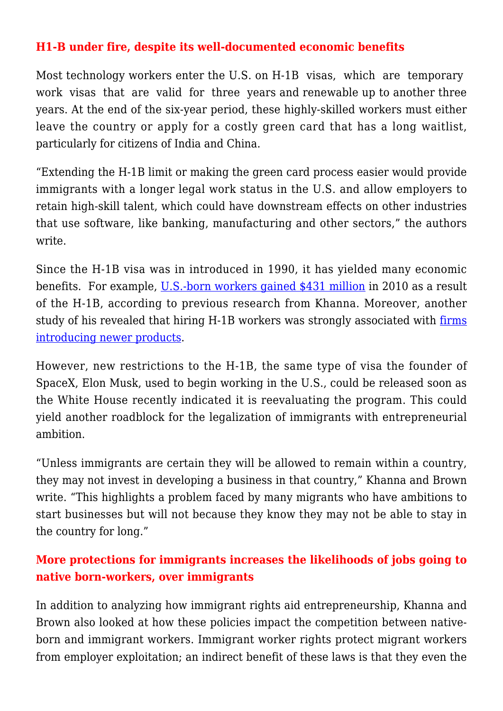#### **H1-B under fire, despite its well-documented economic benefits**

Most technology workers enter the U.S. on H-1B visas, which are temporary work visas that are valid for three years and renewable up to another three years. At the end of the six-year period, these highly-skilled workers must either leave the country or apply for a costly green card that has a long waitlist, particularly for citizens of India and China.

"Extending the H-1B limit or making the green card process easier would provide immigrants with a longer legal work status in the U.S. and allow employers to retain high-skill talent, which could have downstream effects on other industries that use software, like banking, manufacturing and other sectors," the authors write.

Since the H-1B visa was in introduced in 1990, it has yielded many economic benefits. For example, [U.S.-born workers gained \\$431 million](https://www.cgdev.org/blog/technology-innovation-and-american-dream-new-study-finds-h-1b-visas-benefit-us-and-indian) in 2010 as a result of the H-1B, according to previous research from Khanna. Moreover, another study of his revealed that hiring H-1B workers was strongly associated with [firms](https://www.nber.org/papers/w24824) [introducing newer products.](https://www.nber.org/papers/w24824)

However, new restrictions to the H-1B, the same type of visa the founder of SpaceX, Elon Musk, used to begin working in the U.S., could be released soon as the White House recently indicated it is reevaluating the program. This could yield another roadblock for the legalization of immigrants with entrepreneurial ambition.

"Unless immigrants are certain they will be allowed to remain within a country, they may not invest in developing a business in that country," Khanna and Brown write. "This highlights a problem faced by many migrants who have ambitions to start businesses but will not because they know they may not be able to stay in the country for long."

## **More protections for immigrants increases the likelihoods of jobs going to native born-workers, over immigrants**

In addition to analyzing how immigrant rights aid entrepreneurship, Khanna and Brown also looked at how these policies impact the competition between nativeborn and immigrant workers. Immigrant worker rights protect migrant workers from employer exploitation; an indirect benefit of these laws is that they even the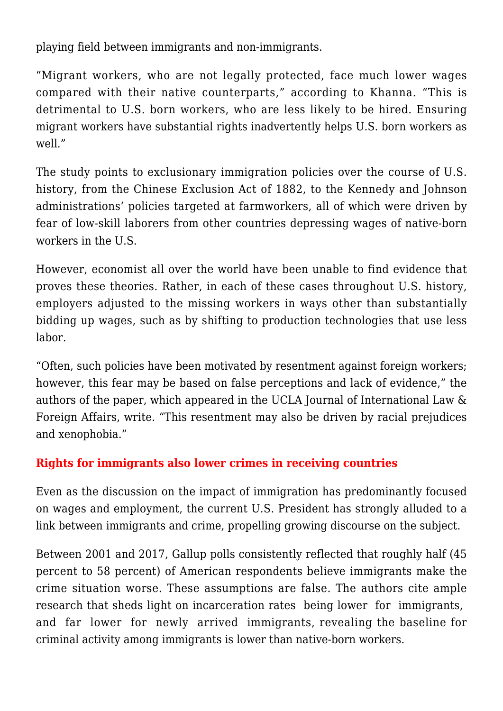playing field between immigrants and non-immigrants.

"Migrant workers, who are not legally protected, face much lower wages compared with their native counterparts," according to Khanna. "This is detrimental to U.S. born workers, who are less likely to be hired. Ensuring migrant workers have substantial rights inadvertently helps U.S. born workers as well."

The study points to exclusionary immigration policies over the course of U.S. history, from the Chinese Exclusion Act of 1882, to the Kennedy and Johnson administrations' policies targeted at farmworkers, all of which were driven by fear of low-skill laborers from other countries depressing wages of native-born workers in the U.S.

However, economist all over the world have been unable to find evidence that proves these theories. Rather, in each of these cases throughout U.S. history, employers adjusted to the missing workers in ways other than substantially bidding up wages, such as by shifting to production technologies that use less labor.

"Often, such policies have been motivated by resentment against foreign workers; however, this fear may be based on false perceptions and lack of evidence," the authors of the paper, which appeared in the UCLA Journal of International Law & Foreign Affairs, write. "This resentment may also be driven by racial prejudices and xenophobia."

#### **Rights for immigrants also lower crimes in receiving countries**

Even as the discussion on the impact of immigration has predominantly focused on wages and employment, the current U.S. President has strongly alluded to a link between immigrants and crime, propelling growing discourse on the subject.

Between 2001 and 2017, Gallup polls consistently reflected that roughly half (45 percent to 58 percent) of American respondents believe immigrants make the crime situation worse. These assumptions are false. The authors cite ample research that sheds light on incarceration rates being lower for immigrants, and far lower for newly arrived immigrants, revealing the baseline for criminal activity among immigrants is lower than native-born workers.